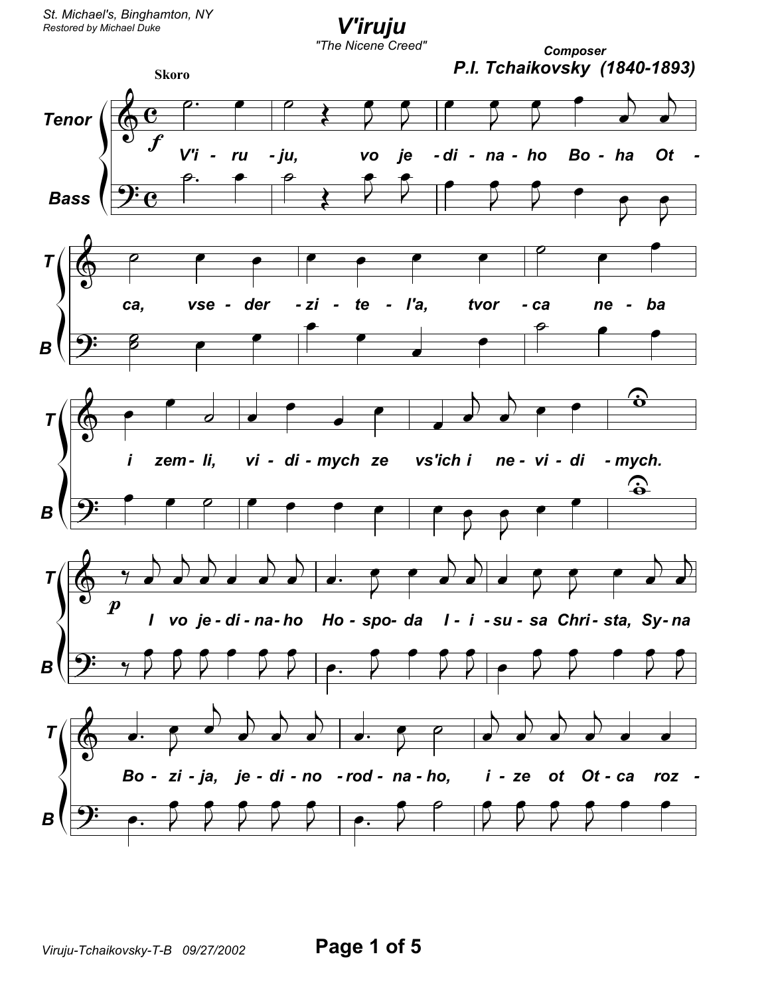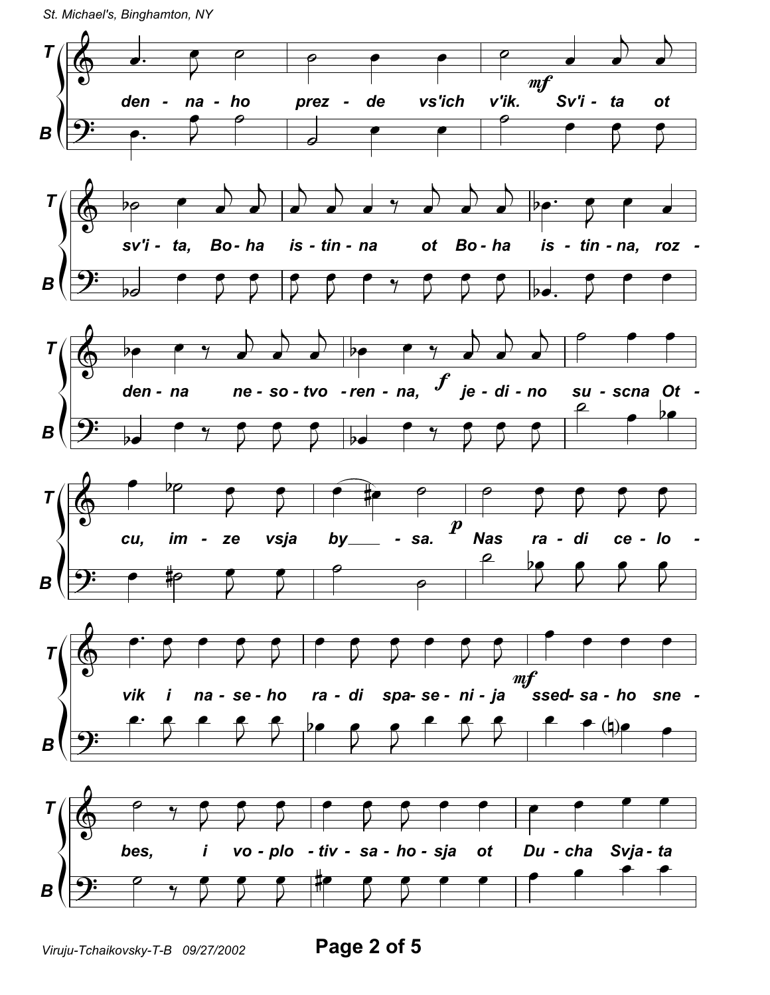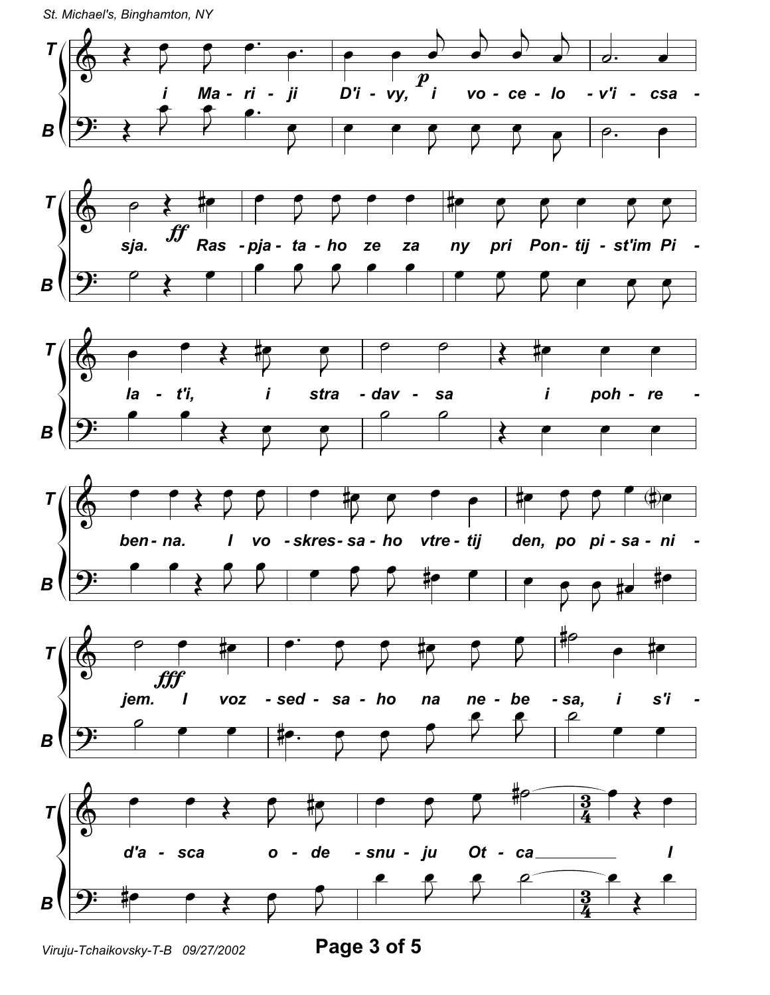

Viruju-Tchaikovsky-T-B 09/27/2002

Page 3 of 5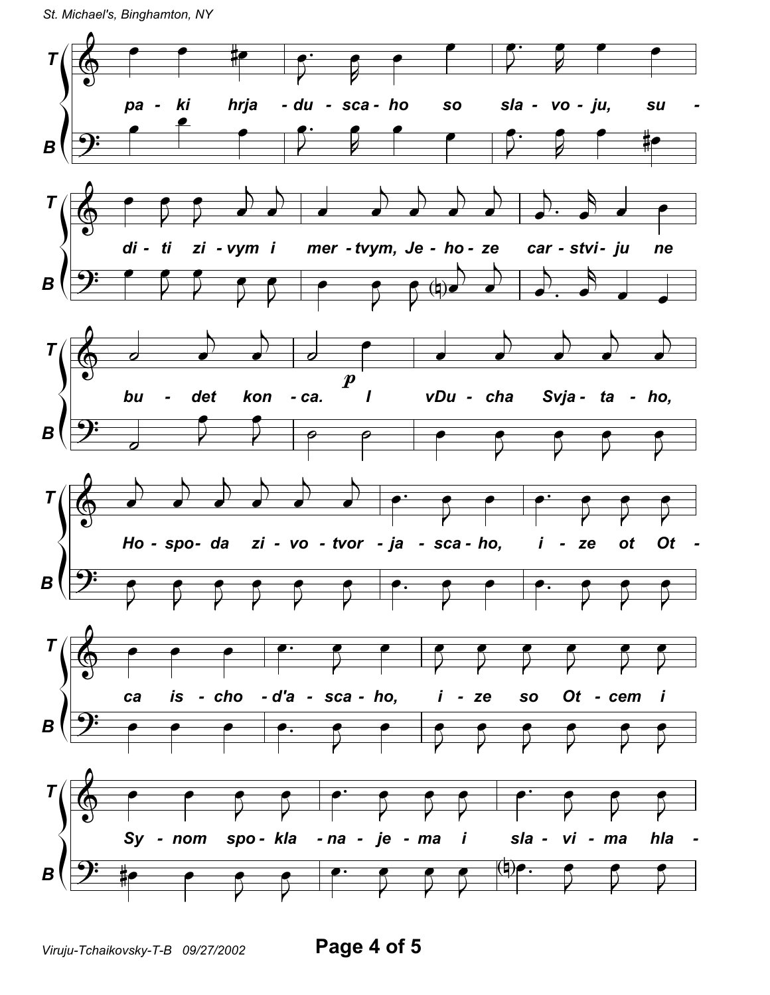